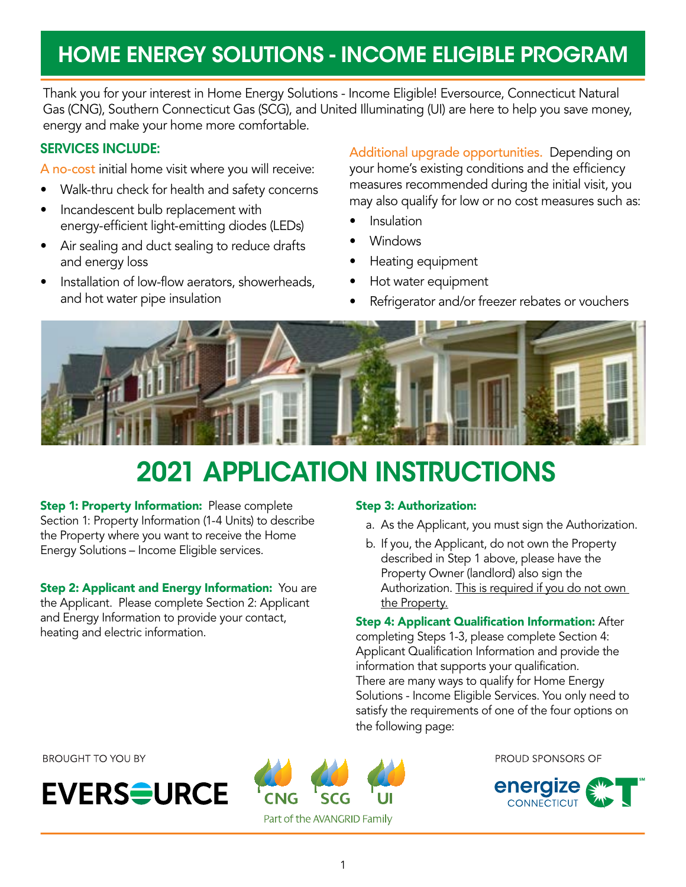## HOME ENERGY SOLUTIONS - INCOME ELIGIBLE PROGRAM

Thank you for your interest in Home Energy Solutions - Income Eligible! Eversource, Connecticut Natural Gas (CNG), Southern Connecticut Gas (SCG), and United Illuminating (UI) are here to help you save money, energy and make your home more comfortable.

### SERVICES INCLUDE:

A no-cost initial home visit where you will receive:

- Walk-thru check for health and safety concerns
- Incandescent bulb replacement with energy-efficient light-emitting diodes (LEDs)
- Air sealing and duct sealing to reduce drafts and energy loss
- Installation of low-flow aerators, showerheads, and hot water pipe insulation

Additional upgrade opportunities. Depending on your home's existing conditions and the efficiency measures recommended during the initial visit, you may also qualify for low or no cost measures such as:

- **Insulation**
- Windows
- Heating equipment
- Hot water equipment
- Refrigerator and/or freezer rebates or vouchers



# 2021 APPLICATION INSTRUCTIONS

Step 1: Property Information: Please complete Section 1: Property Information (1-4 Units) to describe the Property where you want to receive the Home Energy Solutions – Income Eligible services.

**Step 2: Applicant and Energy Information:** You are the Applicant. Please complete Section 2: Applicant and Energy Information to provide your contact, heating and electric information.

#### Step 3: Authorization:

- a. As the Applicant, you must sign the Authorization.
- b. If you, the Applicant, do not own the Property described in Step 1 above, please have the Property Owner (landlord) also sign the Authorization. This is required if you do not own the Property.

**Step 4: Applicant Qualification Information: After** completing Steps 1-3, please complete Section 4: Applicant Qualification Information and provide the information that supports your qualification. There are many ways to qualify for Home Energy Solutions - Income Eligible Services. You only need to satisfy the requirements of one of the four options on the following page:

**BROUGHT TO YOU BY** 





PROUD SPONSORS OF

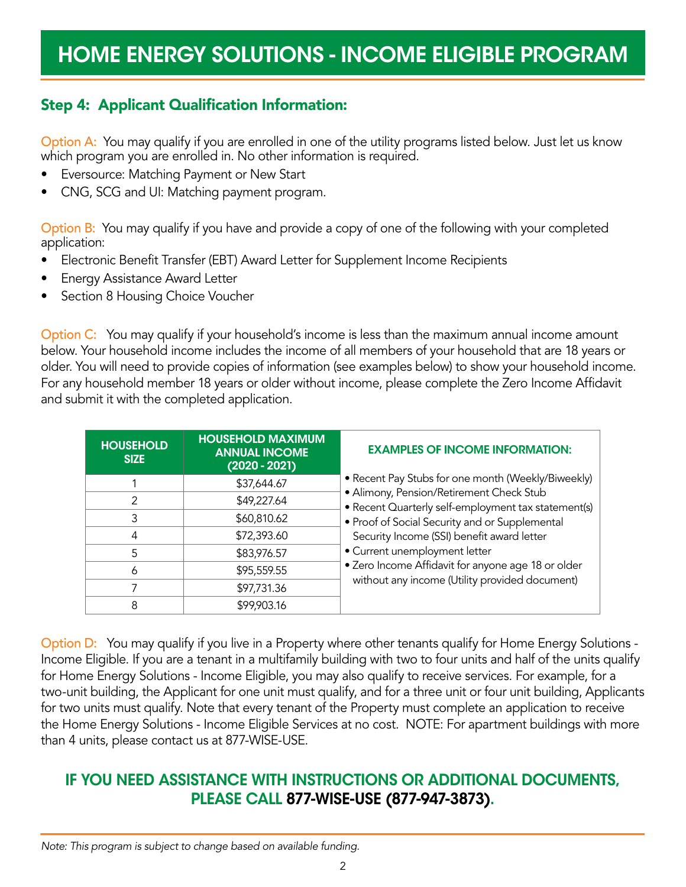### Step 4: Applicant Qualification Information:

Option A: You may qualify if you are enrolled in one of the utility programs listed below. Just let us know which program you are enrolled in. No other information is required.

- Eversource: Matching Payment or New Start
- CNG, SCG and UI: Matching payment program.

Option B: You may qualify if you have and provide a copy of one of the following with your completed application:

- Electronic Benefit Transfer (EBT) Award Letter for Supplement Income Recipients
- Energy Assistance Award Letter
- Section 8 Housing Choice Voucher

Option C: You may qualify if your household's income is less than the maximum annual income amount below. Your household income includes the income of all members of your household that are 18 years or older. You will need to provide copies of information (see examples below) to show your household income. For any household member 18 years or older without income, please complete the Zero Income Affidavit and submit it with the completed application.

| <b>HOUSEHOLD</b><br><b>SIZE</b> | <b>HOUSEHOLD MAXIMUM</b><br><b>ANNUAL INCOME</b><br>$(2020 - 2021)$ | <b>EXAMPLES OF INCOME INFORMATION:</b>                                                          |
|---------------------------------|---------------------------------------------------------------------|-------------------------------------------------------------------------------------------------|
|                                 | \$37,644.67                                                         | • Recent Pay Stubs for one month (Weekly/Biweekly)                                              |
| 2                               | \$49,227.64                                                         | · Alimony, Pension/Retirement Check Stub<br>• Recent Quarterly self-employment tax statement(s) |
|                                 | \$60,810.62                                                         | • Proof of Social Security and or Supplemental                                                  |
| 4                               | \$72,393.60                                                         | Security Income (SSI) benefit award letter                                                      |
| 5                               | \$83,976.57                                                         | · Current unemployment letter                                                                   |
| 6                               | \$95,559.55                                                         | • Zero Income Affidavit for anyone age 18 or older                                              |
|                                 | \$97,731.36                                                         | without any income (Utility provided document)                                                  |
|                                 | \$99,903.16                                                         |                                                                                                 |

Option D: You may qualify if you live in a Property where other tenants qualify for Home Energy Solutions -Income Eligible. If you are a tenant in a multifamily building with two to four units and half of the units qualify for Home Energy Solutions - Income Eligible, you may also qualify to receive services. For example, for a two-unit building, the Applicant for one unit must qualify, and for a three unit or four unit building, Applicants for two units must qualify. Note that every tenant of the Property must complete an application to receive the Home Energy Solutions - Income Eligible Services at no cost. NOTE: For apartment buildings with more than 4 units, please contact us at 877-WISE-USE.

### IF YOU NEED ASSISTANCE WITH INSTRUCTIONS OR ADDITIONAL DOCUMENTS, PLEASE CALL 877-WISE-USE (877-947-3873).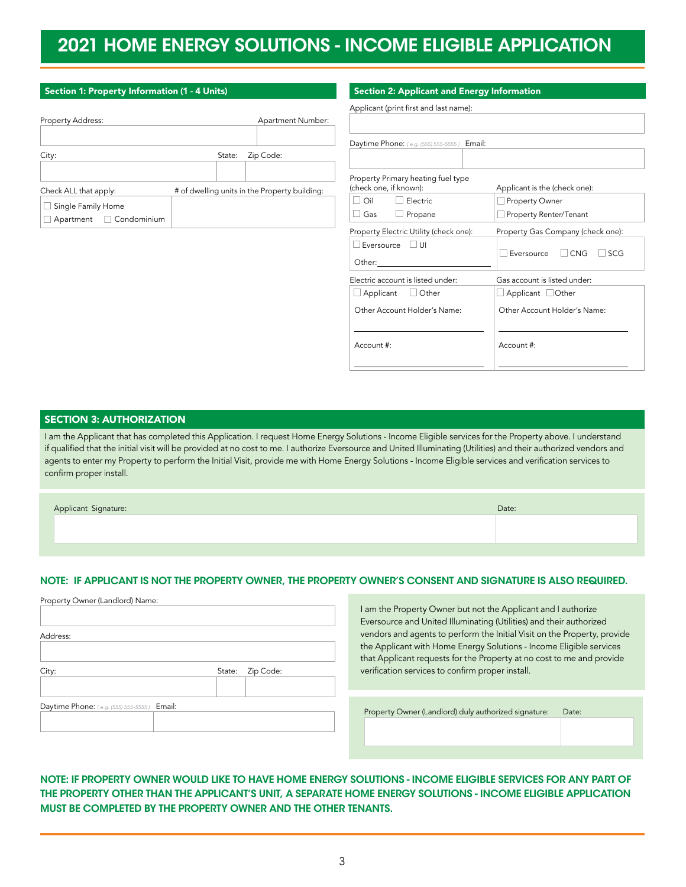### 2021 HOME ENERGY SOLUTIONS - INCOME ELIGIBLE APPLICATION

| Section 1: Property Information (1 - 4 Units)      |                                               | <b>Section 2: Applicant and Energy Information</b>                         |                                               |
|----------------------------------------------------|-----------------------------------------------|----------------------------------------------------------------------------|-----------------------------------------------|
| Property Address:                                  | Apartment Number:                             | Applicant (print first and last name):                                     |                                               |
|                                                    |                                               | Daytime Phone: (e.g. (555) 555-5555)<br>Email:                             |                                               |
| City:                                              | Zip Code:<br>State:                           |                                                                            |                                               |
| Check ALL that apply:                              | # of dwelling units in the Property building: | Property Primary heating fuel type<br>(check one, if known):               | Applicant is the (check one):                 |
| $\Box$ Single Family Home<br>Apartment Condominium |                                               | $\Box$ Oil<br>$\Box$ Electric<br>$\Box$ Gas<br>$\Box$ Propane              | Property Owner<br>Property Renter/Tenant      |
|                                                    |                                               | Property Electric Utility (check one):                                     | Property Gas Company (check one):             |
|                                                    |                                               | $\Box$ Eversource $\Box$ UI<br>Other: <b>compare the Compare of String</b> | $\Box$ Eversource<br>$\Box$ SCG<br>$\Box$ CNG |
|                                                    |                                               | Electric account is listed under:                                          | Gas account is listed under:                  |
|                                                    |                                               | $\Box$ Applicant<br>$\Box$ Other                                           | $\Box$ Applicant $\Box$ Other                 |

Other Account Holder's Name:

#### SECTION 3: AUTHORIZATION

I am the Applicant that has completed this Application. I request Home Energy Solutions - Income Eligible services for the Property above. I understand if qualified that the initial visit will be provided at no cost to me. I authorize Eversource and United Illuminating (Utilities) and their authorized vendors and agents to enter my Property to perform the Initial Visit, provide me with Home Energy Solutions - Income Eligible services and verification services to confirm proper install.

 $\overline{a}$ 

 $\overline{a}$ 

Account #:

| Applicant Signature: | Date: |
|----------------------|-------|
|                      |       |
|                      |       |
|                      |       |

#### NOTE: IF APPLICANT IS NOT THE PROPERTY OWNER, THE PROPERTY OWNER'S CONSENT AND SIGNATURE IS ALSO REQUIRED.

| Property Owner (Landlord) Name:             |        |           |      |
|---------------------------------------------|--------|-----------|------|
|                                             |        |           | I ar |
|                                             |        |           | Eve  |
| Address:                                    |        |           | ver  |
|                                             |        |           | the  |
|                                             |        |           | tha  |
| City:                                       | State: | Zip Code: | ver  |
|                                             |        |           |      |
|                                             |        |           |      |
| Daytime Phone: (e.g. (555) 555-5555) Email: |        |           | Pro  |
|                                             |        |           |      |
|                                             |        |           |      |
|                                             |        |           |      |

m the Property Owner but not the Applicant and I authorize ersource and United Illuminating (Utilities) and their authorized ndors and agents to perform the Initial Visit on the Property, provide Applicant with Home Energy Solutions - Income Eligible services It Applicant requests for the Property at no cost to me and provide ification services to confirm proper install.

Other Account Holder's Name:

 $\overline{a}$ 

 $\overline{a}$ 

Account #:

pperty Owner (Landlord) duly authorized signature: Date:

NOTE: IF PROPERTY OWNER WOULD LIKE TO HAVE HOME ENERGY SOLUTIONS - INCOME ELIGIBLE SERVICES FOR ANY PART OF THE PROPERTY OTHER THAN THE APPLICANT'S UNIT, A SEPARATE HOME ENERGY SOLUTIONS - INCOME ELIGIBLE APPLICATION MUST BE COMPLETED BY THE PROPERTY OWNER AND THE OTHER TENANTS.